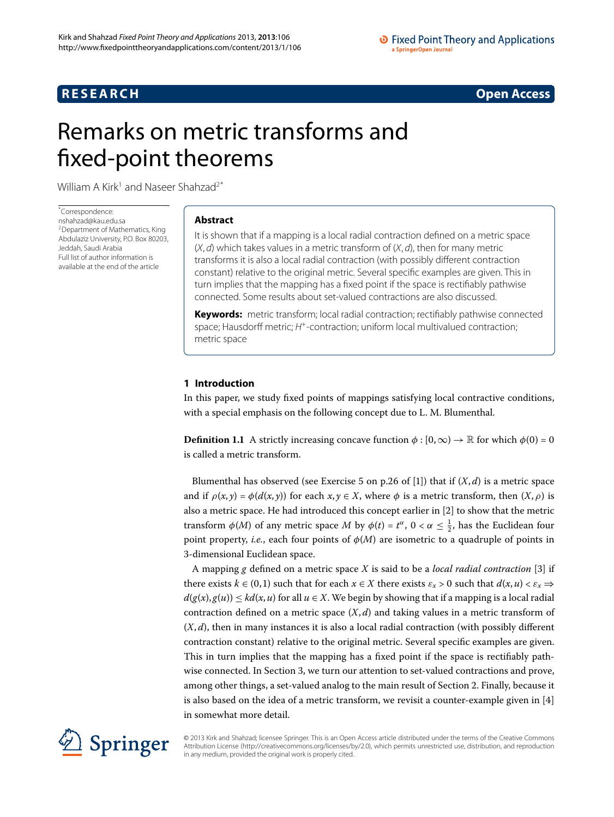# **RESEARCH CONSTRUCTER ACCESS**

# <span id="page-0-0"></span>Remarks on metric transforms and fixed-point theorems

William A Kirk<sup>[1](#page-10-0)</sup> and Naseer Shahzad<sup>[2](#page-10-1)[\\*](#page-0-0)</sup>

\* Correspondence: [nshahzad@kau.edu.sa](mailto:nshahzad@kau.edu.sa) <sup>2</sup> Department of Mathematics, King Abdulaziz University, P.O. Box 80203, Jeddah, Saudi Arabia Full list of author information is available at the end of the article

# **Abstract**

It is shown that if a mapping is a local radial contraction defined on a metric space  $(X, d)$  which takes values in a metric transform of  $(X, d)$ , then for many metric transforms it is also a local radial contraction (with possibly different contraction constant) relative to the original metric. Several specific examples are given. This in turn implies that the mapping has a fixed point if the space is rectifiably pathwise connected. Some results about set-valued contractions are also discussed.

**Keywords:** metric transform; local radial contraction; rectifiably pathwise connected space; Hausdorff metric; H<sup>+</sup>-contraction; uniform local multivalued contraction; metric space

# **1 Introduction**

In this paper, we study fixed points of mappings satisfying local contractive conditions, with a special emphasis on the following concept due to L. M. Blumenthal.

**Definition 1.1** A strictly increasing concave function  $\phi$  :  $[0, \infty) \rightarrow \mathbb{R}$  for which  $\phi(0) = 0$ is called a metric transform.

Blumenthal has observed (see Exercise 5 on p.26 of [1[\]](#page-10-2)) that if  $(X, d)$  is a metric space and if  $\rho(x, y) = \phi(d(x, y))$  for each  $x, y \in X$ , where  $\phi$  is a metric transform, then  $(X, \rho)$  is also a metric space. He had introduced this concept earlier in [2[\]](#page-10-3) to show that the metric transform  $\phi(M)$  of any metric space *M* by  $\phi(t) = t^{\alpha}$ ,  $0 < \alpha \leq \frac{1}{2}$ , has the Euclidean four point property, *i.e.*, each four points of  $\phi(M)$  are isometric to a quadruple of points in -dimensional Euclidean space.

A mapping *g* defined on a metric space *X* is said to be a *local radial contraction* [\[](#page-10-4)] if there exists  $k \in (0,1)$  such that for each  $x \in X$  there exists  $\varepsilon_x > 0$  such that  $d(x, u) < \varepsilon_x \Rightarrow$  $d(g(x), g(u)) \leq kd(x, u)$  for all  $u \in X$ . We begin by showing that if a mapping is a local radial contraction defined on a metric space  $(X, d)$  and taking values in a metric transform of  $(X, d)$ , then in many instances it is also a local radial contraction (with possibly different contraction constant) relative to the original metric. Several specific examples are given. This in turn implies that the mapping has a fixed point if the space is rectifiably pathwise connected. In Section 3, we turn our attention to set-valued contractions and prove, among other things, a set-valued analog to the main result of Section 2[.](#page-1-0) Finally, because it is also based on the idea of a metric transform, we revisit a counter-example given in  $[4]$ in somewhat more detail.



© 2013 Kirk and Shahzad; licensee Springer. This is an Open Access article distributed under the terms of the Creative Commons Attribution License [\(http://creativecommons.org/licenses/by/2.0](http://creativecommons.org/licenses/by/2.0)), which permits unrestricted use, distribution, and reproduction in any medium, provided the original work is properly cited.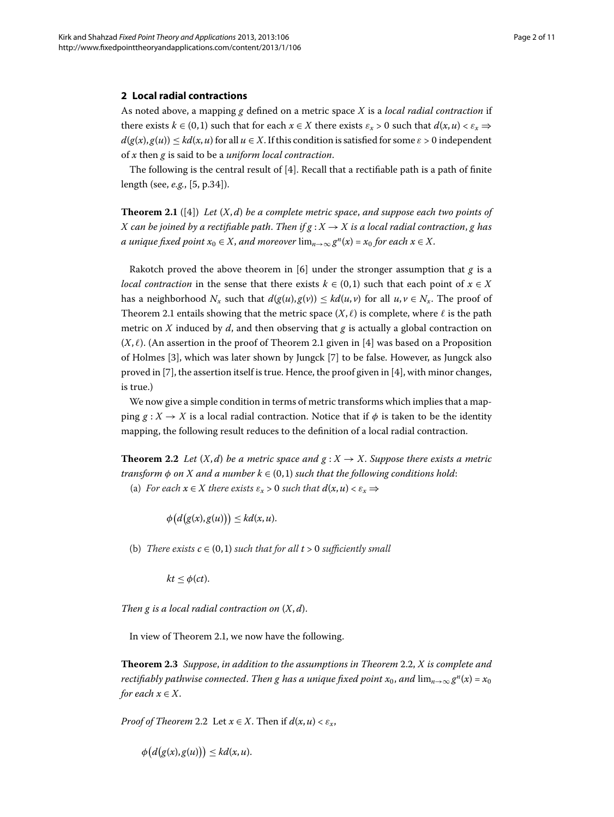### <span id="page-1-0"></span>**2 Local radial contractions**

<span id="page-1-1"></span>As noted above, a mapping *g* defined on a metric space *X* is a *local radial contraction* if there exists  $k \in (0,1)$  such that for each  $x \in X$  there exists  $\varepsilon_x > 0$  such that  $d(x, u) < \varepsilon_x \Rightarrow$  $d(g(x), g(u)) \leq kd(x, u)$  for all  $u \in X$ . If this condition is satisfied for some  $\varepsilon > 0$  independent of *x* then *g* is said to be a *uniform local contraction*.

The following is the central result of  $[4]$  $[4]$ . Recall that a rectifiable path is a path of finite length (see[,](#page-10-6) *e.g.*, [5, p.34]).

**Theorem 2.1** ([4]) Let  $(X, d)$  be a complete metric space, and suppose each two points of *X* can be joined by a rectifiable path. Then if  $g: X \to X$  is a local radial contraction, g has *a unique fixed point*  $x_0 \in X$ , *and moreover*  $\lim_{n\to\infty} g^n(x) = x_0$  *for each*  $x \in X$ .

Rakotch proved the above theorem in  $[6]$  under the stronger assumption that  $g$  is a *local contraction* in the sense that there exists  $k \in (0,1)$  such that each point of  $x \in X$ has a neighborhood  $N_x$  such that  $d(g(u), g(v)) \leq kd(u, v)$  for all  $u, v \in N_x$ . The proof of Theorem 2[.](#page-1-1)1 entails showing that the metric space  $(X, \ell)$  is complete, where  $\ell$  is the path metric on *X* induced by *d*, and then observing that *g* is actually a global contraction on  $(X, \ell)$ [.](#page-1-1) (An assertion in the proof of Theorem 2.1 given in [4] was based on a Proposition of Holmes [3[\]](#page-10-8), which was later shown by Jungck [7] to be false. However, as Jungck also proved in [7[\]](#page-10-8), the assertion itself is true. Hence, the proof given in [4], with minor changes, is true.)

<span id="page-1-2"></span>We now give a simple condition in terms of metric transforms which implies that a mapping  $g: X \to X$  is a local radial contraction. Notice that if  $\phi$  is taken to be the identity mapping, the following result reduces to the definition of a local radial contraction.

**Theorem 2.2** Let  $(X,d)$  be a metric space and  $g: X \to X$ . Suppose there exists a metric *transform*  $\phi$  *on X and a number*  $k \in (0, 1)$  *such that the following conditions hold:* 

(a) *For each*  $x \in X$  *there exists*  $\varepsilon_x > 0$  *such that*  $d(x, u) < \varepsilon_x$   $\Rightarrow$ 

 $\phi\big(d\big(g(x), g(u)\big)\big) \leq kd(x, u).$ 

<span id="page-1-3"></span>(b) *There exists*  $c \in (0,1)$  *such that for all*  $t > 0$  *sufficiently small* 

 $kt \leq \phi(ct)$ .

*Then g is a local radial contraction on* (*X*, *d*).

In view of Theorem 2[.](#page-1-1)1, we now have the following.

**Theorem 2.3** Suppose, in addition to the assumptions in Theorem 2.2, X is complete and *rectifiably pathwise connected. Then g has a unique fixed point*  $x_0$ *, and*  $\lim_{n\to\infty} g^n(x) = x_0$ *for each*  $x \in X$ .

*Proof of Theorem* 2[.](#page-1-2)2 Let  $x \in X$ . Then if  $d(x, u) < \varepsilon_x$ ,

$$
\phi\big(d\big(g(x),g(u)\big)\big)\leq kd(x,u).
$$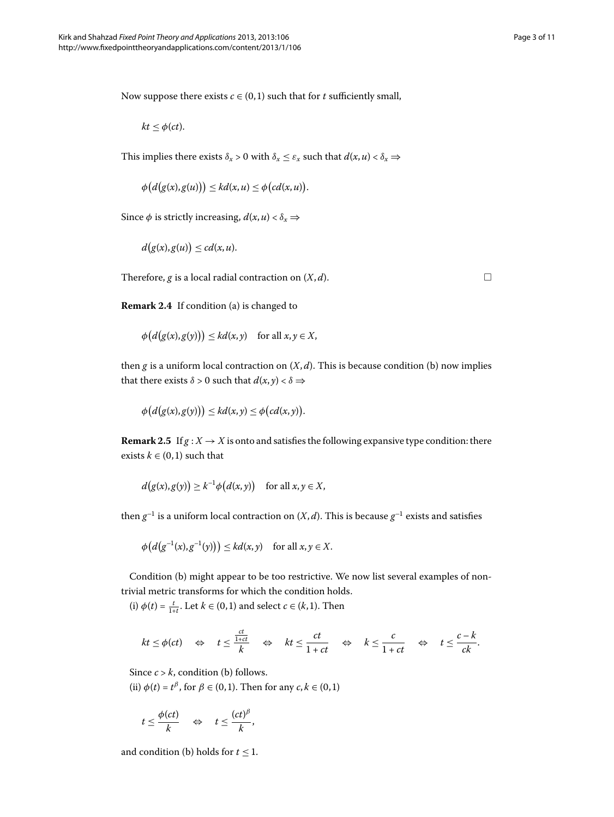Now suppose there exists  $c \in (0,1)$  such that for  $t$  sufficiently small,

 $kt \leq \phi(ct)$ .

This implies there exists  $\delta_x > 0$  with  $\delta_x \leq \varepsilon_x$  such that  $d(x, u) < \delta_x \Rightarrow$ 

$$
\phi\big(d\big(g(x),g(u)\big)\big)\leq kd(x,u)\leq \phi\big(cd(x,u)\big).
$$

Since  $\phi$  is strictly increasing,  $d(x, u) < \delta_x$ 

$$
d(g(x),g(u)) \leq cd(x,u).
$$

Therefore,  $g$  is a local radial contraction on  $(X, d)$ .

**Remark 2.4** If condition (a) is changed to

$$
\phi\big(d\big(g(x),g(y)\big)\big)\leq kd(x,y)\quad\text{for all }x,y\in X,
$$

then *g* is a uniform local contraction on  $(X, d)$ . This is because condition (b) now implies that there exists  $\delta > 0$  such that  $d(x, y) < \delta \Rightarrow$ 

$$
\phi\big(d\big(g(x),g(y)\big)\big)\leq kd(x,y)\leq \phi\big(cd(x,y)\big).
$$

**Remark 2.5** If  $g: X \to X$  is onto and satisfies the following expansive type condition: there exists  $k \in (0, 1)$  such that

$$
d(g(x), g(y)) \geq k^{-1} \phi(d(x, y)) \quad \text{for all } x, y \in X,
$$

then  $g^{-1}$  is a uniform local contraction on  $(X, d)$ . This is because  $g^{-1}$  exists and satisfies

$$
\phi\big(d\big(g^{-1}(x),g^{-1}(y)\big)\big)\leq kd(x,y)\quad\text{for all }x,y\in X.
$$

Condition (b) might appear to be too restrictive. We now list several examples of nontrivial metric transforms for which the condition holds.

(i)  $\phi(t) = \frac{t}{1+t}$ . Let  $k \in (0,1)$  and select  $c \in (k,1)$ . Then

$$
kt \leq \phi(ct) \quad \Leftrightarrow \quad t \leq \frac{\frac{ct}{1+ct}}{k} \quad \Leftrightarrow \quad kt \leq \frac{ct}{1+ct} \quad \Leftrightarrow \quad k \leq \frac{c}{1+ct} \quad \Leftrightarrow \quad t \leq \frac{c-k}{ck}.
$$

Since  $c > k$ , condition (b) follows.

(ii)  $\phi(t) = t^{\beta}$ , for  $\beta \in (0, 1)$ . Then for any  $c, k \in (0, 1)$ 

$$
t \leq \frac{\phi(ct)}{k} \quad \Leftrightarrow \quad t \leq \frac{(ct)^{\beta}}{k},
$$

and condition (b) holds for  $t \leq 1$ .

 $\Box$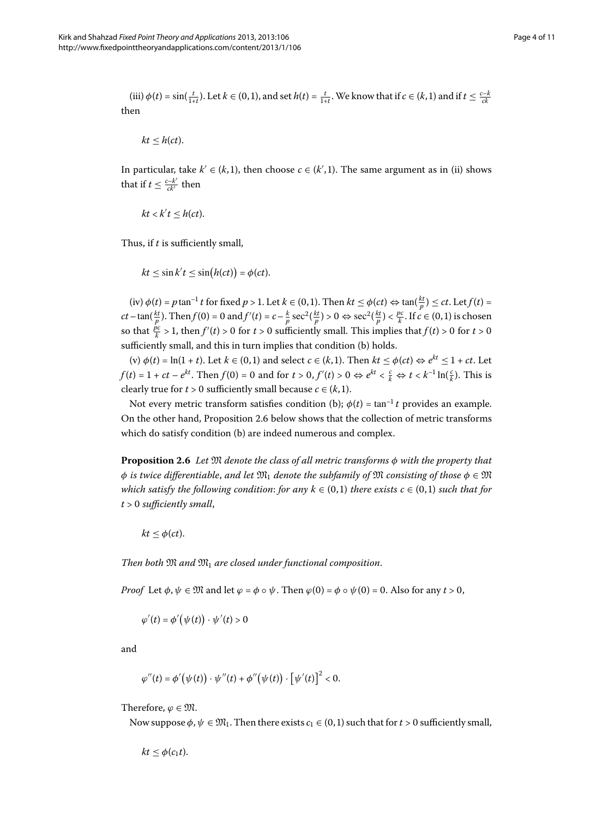(iii) 
$$
\phi(t) = \sin(\frac{t}{1+t})
$$
. Let  $k \in (0,1)$ , and set  $h(t) = \frac{t}{1+t}$ . We know that if  $c \in (k,1)$  and if  $t \leq \frac{c-k}{ck}$  then

$$
kt\leq h(ct).
$$

In particular, take  $k' \in (k,1)$ , then choose  $c \in (k',1)$ . The same argument as in (ii) shows that if  $t \leq \frac{c-k'}{ck'}$  then

$$
kt < k't \leq h(ct).
$$

Thus, if *t* is sufficiently small,

$$
kt \leq \sin k't \leq \sin(h(ct)) = \phi(ct).
$$

 $f(\text{iv}) \phi(t) = p \tan^{-1} t \text{ for fixed } p > 1.$  Let  $k \in (0, 1)$ . Then  $kt \leq \phi(ct) \Leftrightarrow \tan(\frac{kt}{p}) \leq ct$ . Let  $f(t) =$  $ct - \tan(\frac{kt}{p})$ . Then  $f(0) = 0$  and  $f'(t) = c - \frac{k}{p} \sec^2(\frac{kt}{p}) > 0 \Leftrightarrow \sec^2(\frac{kt}{p}) < \frac{pc}{k}$ . If  $c \in (0,1)$  is chosen so that  $\frac{\dot{p}c}{k} > 1$ , then  $f'(t) > 0$  for  $t > 0$  sufficiently small. This implies that  $f(t) > 0$  for  $t > 0$ sufficiently small, and this in turn implies that condition (b) holds.

<span id="page-3-0"></span> $(v) \phi(t) = \ln(1+t)$ . Let  $k \in (0,1)$  and select  $c \in (k,1)$ . Then  $kt \leq \phi(ct) \Leftrightarrow e^{kt} \leq 1 + ct$ . Let *f*(*t*) = 1 + *ct* −  $e^{kt}$ . Then *f*(0) = 0 and for *t* > 0, *f'*(*t*) > 0  $\Leftrightarrow e^{kt} < \frac{c}{k} \Leftrightarrow t < k^{-1} \ln(\frac{c}{k})$ . This is clearly true for  $t > 0$  sufficiently small because  $c \in (k, 1)$ .

Not every metric transform satisfies condition (b);  $\phi(t) = \tan^{-1} t$  provides an example. On the other hand, Proposition 2[.](#page-3-0)6 below shows that the collection of metric transforms which do satisfy condition (b) are indeed numerous and complex.

**Proposition .** *Let* M *denote the class of all metric transforms φ with the property that*  $\phi$  *is twice differentiable, and let*  $\mathfrak{M}_1$  *denote the subfamily of*  $\mathfrak{M}$  *consisting of those*  $\phi \in \mathfrak{M}$ *which satisfy the following condition: for any*  $k \in (0,1)$  *there exists*  $c \in (0,1)$  *such that for t* > *sufficiently small*,

 $kt \leq \phi(ct)$ .

*Then both*  $\mathfrak{M}$  *and*  $\mathfrak{M}_1$  *are closed under functional composition.* 

*Proof* Let  $\phi$ ,  $\psi \in \mathfrak{M}$  and let  $\varphi = \phi \circ \psi$ . Then  $\varphi(0) = \phi \circ \psi(0) = 0$ . Also for any  $t > 0$ ,

$$
\varphi'(t) = \phi'\big(\psi(t)\big) \cdot \psi'(t) > 0
$$

and

$$
\varphi''(t) = \phi'(\psi(t)) \cdot \psi''(t) + \phi''(\psi(t)) \cdot [\psi'(t)]^2 < 0.
$$

Therefore,  $\varphi \in \mathfrak{M}$ .

Now suppose  $\phi$ ,  $\psi \in \mathfrak{M}_1$ . Then there exists  $c_1 \in (0,1)$  such that for  $t > 0$  sufficiently small,

$$
kt \leq \phi(c_1t).
$$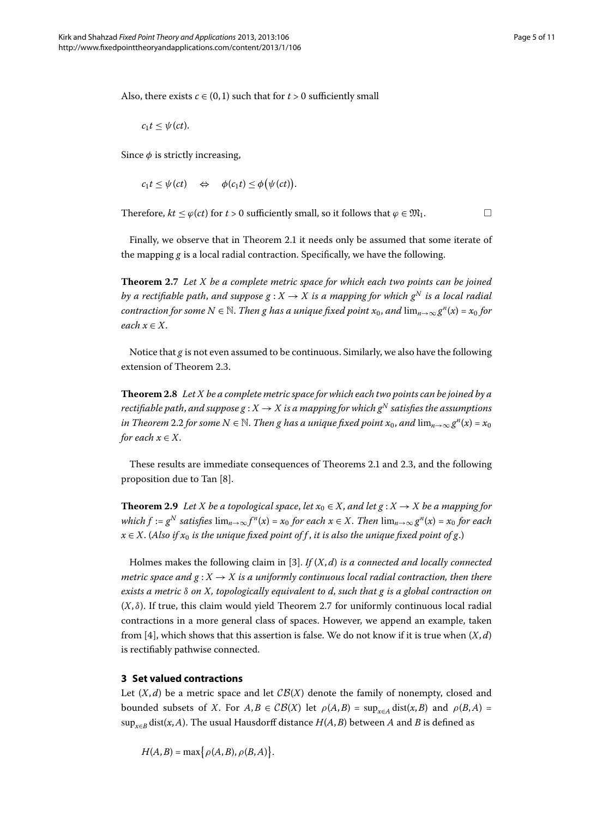Also, there exists  $c \in (0,1)$  such that for  $t > 0$  sufficiently small

 $c_1 t \leq \psi(ct)$ .

Since  $\phi$  is strictly increasing,

 $c_1 t \leq \psi(ct) \quad \Leftrightarrow \quad \phi(c_1 t) \leq \phi(\psi(ct)).$ 

<span id="page-4-1"></span>Therefore,  $kt < \varphi(ct)$  for  $t > 0$  sufficiently small, so it follows that  $\varphi \in \mathfrak{M}_1$ .

Finally, we observe that in Theorem 2[.](#page-1-1)1 it needs only be assumed that some iterate of the mapping *g* is a local radial contraction. Specifically, we have the following.

**Theorem 2.7** Let *X* be a complete metric space for which each two points can be joined *by a rectifiable path, and suppose*  $g: X \to X$  *is a mapping for which*  $g^N$  *is a local radial contraction for some*  $N \in \mathbb{N}$ . *Then g has a unique fixed point*  $x_0$ , *and*  $\lim_{n\to\infty} g^n(x) = x_0$  for *each*  $x \in X$ .

Notice that *g* is not even assumed to be continuous. Similarly, we also have the following extension of Theorem 2.3.

**Theorem 2.8** Let X be a complete metric space for which each two points can be joined by a *rectifiable path, and suppose g* :  $X \to X$  *is a mapping for which*  $g^N$  *satisfies the assumptions in Theorem* 2[.](#page-1-2)2 *for some*  $N \in \mathbb{N}$ *. Then g has a unique fixed point*  $x_0$ *, and*  $\lim_{n\to\infty} g^n(x) = x_0$ *for each*  $x \in X$ .

These results are immediate consequences of Theorems 2[.](#page-1-3)1 and 2.3, and the following proposition due to Tan [\[](#page-10-9)8].

**Theorem 2.9** Let *X* be a topological space, let  $x_0 \in X$ , and let  $g: X \to X$  be a mapping for *which*  $f := g^N$  *satisfies*  $\lim_{n\to\infty} f^n(x) = x_0$  *for each*  $x \in X$ . *Then*  $\lim_{n\to\infty} g^n(x) = x_0$  *for each*  $x \in X$ . (Also if  $x_0$  is the unique fixed point of f, it is also the unique fixed point of g.)

<span id="page-4-0"></span>Holmes makes the following claim in [\[](#page-10-4)3]. *If* (*X*, *d*) *is a connected and locally connected metric space and*  $g: X \to X$  *is a uniformly continuous local radial contraction, then there exists a metric δ on X, topologically equivalent to d, such that g is a global contraction on*  $(X, \delta)$ [.](#page-4-1) If true, this claim would yield Theorem 2.7 for uniformly continuous local radial contractions in a more general class of spaces. However, we append an example, taken from [\[](#page-10-5)4], which shows that this assertion is false. We do not know if it is true when  $(X, d)$ is rectifiably pathwise connected.

# **3 Set valued contractions**

Let  $(X, d)$  be a metric space and let  $\mathcal{CB}(X)$  denote the family of nonempty, closed and bounded subsets of *X*. For  $A, B \in \mathcal{CB}(X)$  let  $\rho(A, B) = \sup_{x \in A} \text{dist}(x, B)$  and  $\rho(B, A) =$ sup*<sup>x</sup>*∈*<sup>B</sup>* dist(*x*,*A*). The usual Hausdorff distance *H*(*A*,*B*) between *A* and *B* is defined as

 $H(A, B) = \max\{ \rho(A, B), \rho(B, A) \}.$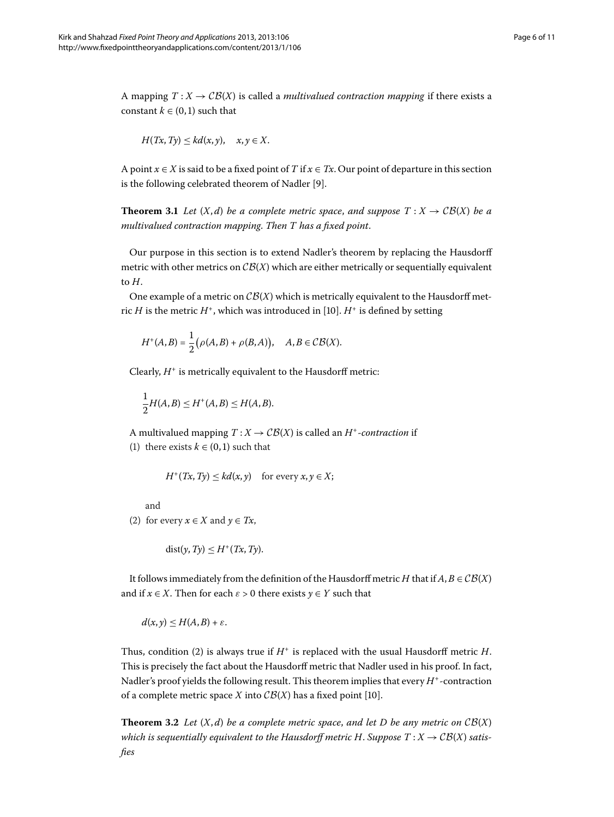A mapping  $T: X \to \mathcal{CB}(X)$  is called a *multivalued contraction mapping* if there exists a constant  $k \in (0, 1)$  such that

$$
H(Tx, Ty) \leq kd(x, y), \quad x, y \in X.
$$

A point  $x \in X$  is said to be a fixed point of *T* if  $x \in Tx$ . Our point of departure in this section is the following celebrated theorem of Nadler [9[\]](#page-10-10).

**Theorem 3.1** Let  $(X,d)$  be a complete metric space, and suppose  $T: X \to \mathcal{CB}(X)$  be a *multivalued contraction mapping*. *Then T has a fixed point*.

Our purpose in this section is to extend Nadler's theorem by replacing the Hausdorff metric with other metrics on  $\mathcal{CB}(X)$  which are either metrically or sequentially equivalent to *H*.

One example of a metric on  $\mathcal{CB}(X)$  which is metrically equivalent to the Hausdorff metric *H* is the metric  $H^+$ , which was introduced in [10[\]](#page-10-11).  $H^+$  is defined by setting

$$
H^+(A,B) = \frac{1}{2} (\rho(A,B) + \rho(B,A)), \quad A,B \in \mathcal{CB}(X).
$$

Clearly,  $H^+$  is metrically equivalent to the Hausdorff metric:

$$
\frac{1}{2}H(A,B) \le H^+(A,B) \le H(A,B).
$$

A multivalued mapping  $T: X \to \mathcal{CB}(X)$  is called an  $H^+$ -contraction if (1) there exists  $k \in (0, 1)$  such that

$$
H^+(Tx, Ty) \leq kd(x, y) \quad \text{for every } x, y \in X;
$$

and

(2) for every  $x \in X$  and  $y \in Tx$ ,

$$
dist(y, Ty) \le H^+(Tx, Ty).
$$

It follows immediately from the definition of the Hausdorff metric *H* that if  $A, B \in \mathcal{CB}(X)$ and if  $x \in X$ . Then for each  $\varepsilon > 0$  there exists  $y \in Y$  such that

 $d(x, y) \leq H(A, B) + \varepsilon.$ 

<span id="page-5-0"></span>Thus, condition (2) is always true if  $H^+$  is replaced with the usual Hausdorff metric *H*. This is precisely the fact about the Hausdorff metric that Nadler used in his proof. In fact, Nadler's proof yields the following result. This theorem implies that every *H*+-contraction of a complete metric space *X* into  $CB(X)$  has a fixed point [10].

**Theorem 3.2** Let  $(X,d)$  be a complete metric space, and let D be any metric on  $CB(X)$ *which is sequentially equivalent to the Hausdorff metric H. Suppose*  $T: X \to \mathcal{CB}(X)$  satis*fies*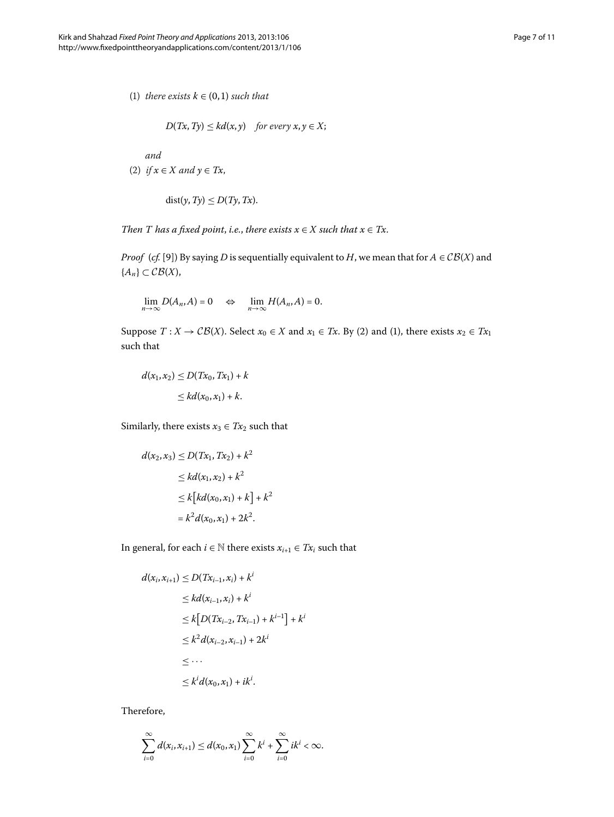(1) *there exists*  $k \in (0, 1)$  *such that* 

$$
D(Tx, Ty) \leq kd(x, y) \quad \text{for every } x, y \in X;
$$

*and*

(2) *if*  $x \in X$  *and*  $y \in Tx$ ,

$$
dist(y, Ty) \le D(Ty, Tx).
$$

*Then T has a fixed point, i.e., there exists*  $x \in X$  *such that*  $x \in Tx$ .

*Proof* (*cf.* [9]) By saying *D* is sequentially equivalent to *H*, we mean that for  $A \in \mathcal{CB}(X)$  and { $A_n$ } ⊂  $CB(X)$ ,

$$
\lim_{n\to\infty} D(A_n, A) = 0 \quad \Leftrightarrow \quad \lim_{n\to\infty} H(A_n, A) = 0.
$$

Suppose  $T: X \to \mathcal{CB}(X)$ . Select  $x_0 \in X$  and  $x_1 \in Tx$ . By (2) and (1), there exists  $x_2 \in Tx_1$ such that

$$
d(x_1, x_2) \le D(Tx_0, Tx_1) + k
$$
  
\n
$$
\le kd(x_0, x_1) + k.
$$

Similarly, there exists  $x_3 \in Tx_2$  such that

$$
d(x_2, x_3) \le D(Tx_1, Tx_2) + k^2
$$
  
\n
$$
\le kd(x_1, x_2) + k^2
$$
  
\n
$$
\le k[kd(x_0, x_1) + k] + k^2
$$
  
\n
$$
= k^2d(x_0, x_1) + 2k^2.
$$

In general, for each *i* ∈  $\mathbb N$  there exists  $x_{i+1}$  ∈  $Tx_i$  such that

$$
d(x_i, x_{i+1}) \le D(Tx_{i-1}, x_i) + k^i
$$
  
\n
$$
\le k d(x_{i-1}, x_i) + k^i
$$
  
\n
$$
\le k [D(Tx_{i-2}, Tx_{i-1}) + k^{i-1}] + k^i
$$
  
\n
$$
\le k^2 d(x_{i-2}, x_{i-1}) + 2k^i
$$
  
\n
$$
\le \cdots
$$
  
\n
$$
\le k^i d(x_0, x_1) + ik^i.
$$

Therefore,

$$
\sum_{i=0}^{\infty} d(x_i, x_{i+1}) \leq d(x_0, x_1) \sum_{i=0}^{\infty} k^i + \sum_{i=0}^{\infty} i k^i < \infty.
$$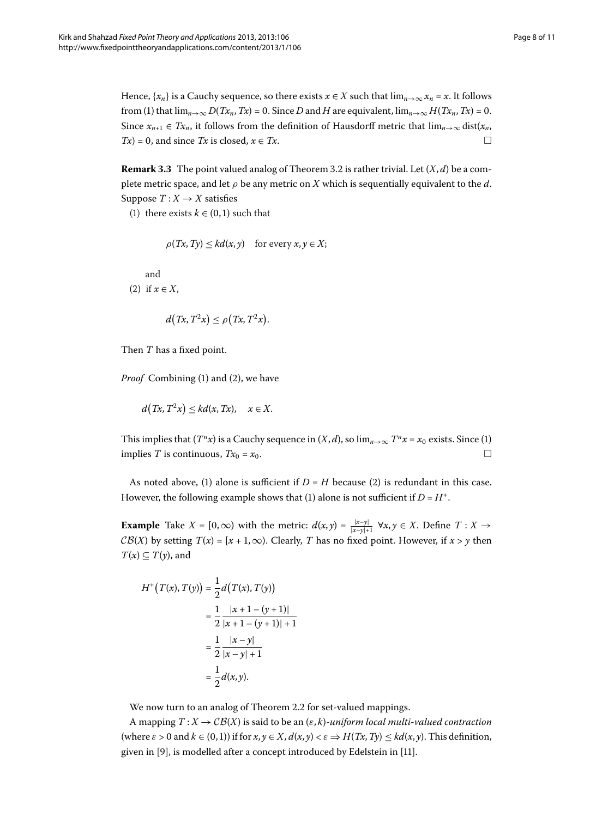Hence,  $\{x_n\}$  is a Cauchy sequence, so there exists  $x \in X$  such that  $\lim_{n\to\infty} x_n = x$ . It follows from (1) that  $\lim_{n\to\infty} D(Tx_n, Tx) = 0$ . Since *D* and *H* are equivalent,  $\lim_{n\to\infty} H(Tx_n, Tx) = 0$ . Since  $x_{n+1} \in Tx_n$ , it follows from the definition of Hausdorff metric that  $\lim_{n\to\infty} dist(x_n,$  $Tx = 0$ , and since *Tx* is closed,  $x \in Tx$ .

**Remark 3[.](#page-5-0)3** The point valued analog of Theorem 3.2 is rather trivial. Let  $(X, d)$  be a complete metric space, and let  $\rho$  be any metric on *X* which is sequentially equivalent to the *d*. Suppose  $T: X \rightarrow X$  satisfies

(1) there exists  $k \in (0, 1)$  such that

$$
\rho(Tx, Ty) \leq kd(x, y) \quad \text{for every } x, y \in X;
$$

and

(2) if  $x \in X$ ,

$$
d(Tx, T^2x) \le \rho(Tx, T^2x).
$$

Then *T* has a fixed point.

*Proof* Combining (1) and (2), we have

$$
d(Tx, T^2x) \leq kd(x, Tx), \quad x \in X.
$$

This implies that  $(T^n x)$  is a Cauchy sequence in  $(X, d)$ , so  $\lim_{n\to\infty} T^n x = x_0$  exists. Since (1) implies *T* is continuous,  $Tx_0 = x_0$ .

As noted above, (1) alone is sufficient if  $D = H$  because (2) is redundant in this case. However, the following example shows that (1) alone is not sufficient if  $D = H^+$ .

**Example** Take  $X = [0, \infty)$  with the metric:  $d(x, y) = \frac{|x-y|}{|x-y|+1}$   $\forall x, y \in X$ . Define  $T: X \to Y$  $CB(X)$  by setting  $T(x) = [x + 1, \infty)$ . Clearly, *T* has no fixed point. However, if  $x > y$  then  $T(x) \subseteq T(y)$ , and

$$
H^+(T(x), T(y)) = \frac{1}{2}d(T(x), T(y))
$$
  
=  $\frac{1}{2} \frac{|x+1-(y+1)|}{|x+1-(y+1)|+1}$   
=  $\frac{1}{2} \frac{|x-y|}{|x-y|+1}$   
=  $\frac{1}{2}d(x, y).$ 

We now turn to an analog of Theorem 2[.](#page-1-2)2 for set-valued mappings.

A mapping  $T : X \to \mathcal{CB}(X)$  is said to be an  $(\varepsilon, k)$ -*uniform local multi-valued contraction*  $(\text{where } \varepsilon > 0 \text{ and } k \in (0,1)) \text{ if for } x, y \in X, d(x,y) < \varepsilon \Rightarrow H(Tx, Ty) \leq kd(x, y).$  This definition, given in [\[](#page-10-10)9[\]](#page-10-12), is modelled after a concept introduced by Edelstein in [11].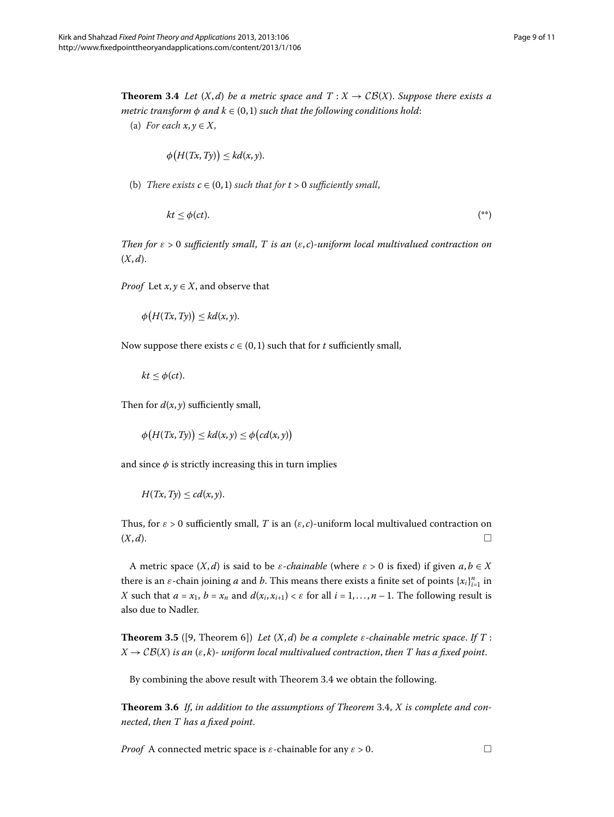<span id="page-8-0"></span>**Theorem 3.4** Let  $(X,d)$  be a metric space and  $T : X \rightarrow CB(X)$ . Suppose there exists a *metric transform*  $\phi$  *and*  $k \in (0,1)$  *such that the following conditions hold:* 

(a) *For each*  $x, y \in X$ ,

$$
\phi\big(H(Tx,Ty)\big)\leq kd(x,y).
$$

(b) *There exists*  $c \in (0,1)$  *such that for*  $t > 0$  *sufficiently small*,

$$
kt \leq \phi(ct). \tag{**}
$$

*Then for ε* > *sufficiently small*, *T is an* (*ε*, *c*)*-uniform local multivalued contraction on*  $(X, d)$ .

*Proof* Let  $x, y \in X$ , and observe that

$$
\phi\big(H(Tx,Ty)\big)\leq kd(x,y).
$$

Now suppose there exists  $c \in (0,1)$  such that for  $t$  sufficiently small,

$$
kt \leq \phi(ct).
$$

Then for  $d(x, y)$  sufficiently small,

 $\phi\left(H(Tx, Ty)\right) \leq kd(x, y) \leq \phi\left(cd(x, y)\right)$ 

and since  $\phi$  is strictly increasing this in turn implies

$$
H(Tx,Ty)\leq cd(x,y).
$$

Thus, for  $\varepsilon > 0$  sufficiently small, *T* is an  $(\varepsilon, c)$ -uniform local multivalued contraction on  $(X, d)$ .

A metric space  $(X, d)$  is said to be *ε*-*chainable* (where  $\varepsilon > 0$  is fixed) if given  $a, b \in X$ there is an  $\varepsilon$ -chain joining *a* and *b*. This means there exists a finite set of points  $\{x_i\}_{i=1}^n$  in *X* such that  $a = x_1$ ,  $b = x_n$  and  $d(x_i, x_{i+1}) < \varepsilon$  for all  $i = 1, ..., n - 1$ . The following result is also due to Nadler.

**Theorem 3.5** ([9, Theorem 6]) *Let*  $(X, d)$  *be a complete*  $\varepsilon$ *-chainable metric space. If*  $T$ :  $X \to \mathcal{CB}(X)$  *is an*  $(\varepsilon, k)$ *- uniform local multivalued contraction, then T* has a fixed point.

By combining the above result with Theorem 3[.](#page-8-0)4 we obtain the following.

**Theorem 3[.](#page-8-0)6** If, in addition to the assumptions of Theorem 3.4, X is complete and con*nected*, *then T has a fixed point*.

*Proof* A connected metric space is *ε*-chainable for any  $\varepsilon > 0$ .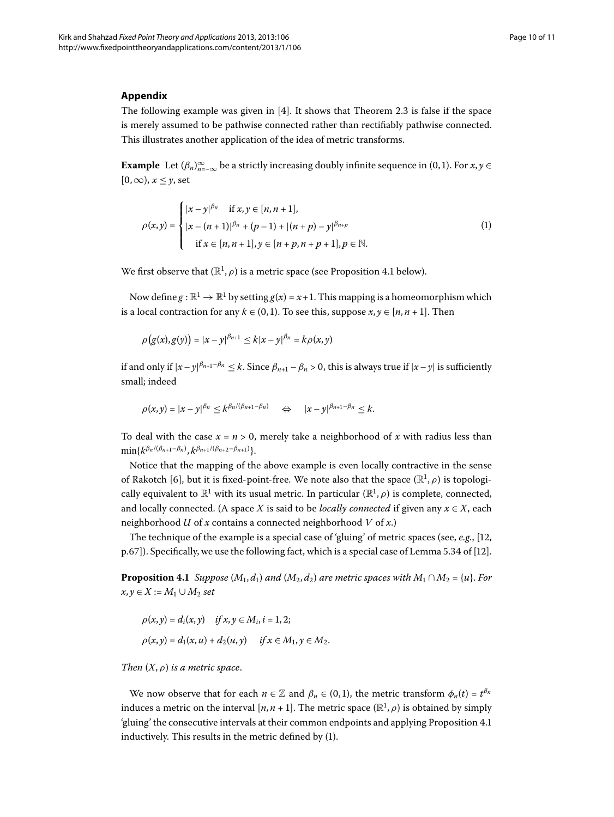### **Appendix**

The following example was given in  $[4]$  $[4]$ [.](#page-1-3) It shows that Theorem 2.3 is false if the space is merely assumed to be pathwise connected rather than rectifiably pathwise connected. This illustrates another application of the idea of metric transforms.

**Example** Let  $(\beta_n)_{n=-\infty}^{\infty}$  be a strictly increasing doubly infinite sequence in  $(0,1)$ . For  $x, y \in$  $[0, \infty)$ ,  $x < y$ , set

<span id="page-9-1"></span>
$$
\rho(x,y) = \begin{cases} |x-y|^{\beta_n} & \text{if } x, y \in [n, n+1], \\ |x-(n+1)|^{\beta_n} + (p-1) + |(n+p) - y|^{\beta_{n+p}} \\ & \text{if } x \in [n, n+1], y \in [n+p, n+p+1], p \in \mathbb{N}. \end{cases}
$$
(1)

We first observe that  $(\mathbb{R}^1, \rho)$  is a metric space (see Proposition 4[.](#page-9-0)1 below).

Now define  $g : \mathbb{R}^1 \to \mathbb{R}^1$  by setting  $g(x) = x + 1$ . This mapping is a homeomorphism which is a local contraction for any  $k \in (0, 1)$ . To see this, suppose  $x, y \in [n, n + 1]$ . Then

$$
\rho(g(x), g(y)) = |x - y|^{\beta_{n+1}} \le k|x - y|^{\beta_n} = k\rho(x, y)
$$

if and only if  $|x-y|^{\beta_{n+1}-\beta_n} \leq k$ . Since  $\beta_{n+1}-\beta_n > 0$ , this is always true if  $|x-y|$  is sufficiently small; indeed

$$
\rho(x,y)=|x-y|^{\beta_n}\leq k^{\beta_n/(\beta_{n+1}-\beta_n)} \quad \Leftrightarrow \quad |x-y|^{\beta_{n+1}-\beta_n}\leq k.
$$

To deal with the case  $x = n > 0$ , merely take a neighborhood of x with radius less than  $\min\{k^{\beta_n/(\beta_{n+1}-\beta_n)}, k^{\beta_{n+1}/(\beta_{n+2}-\beta_{n+1})}\}.$ 

<span id="page-9-0"></span>Notice that the mapping of the above example is even locally contractive in the sense of Rakotch [6], but it is fixed-point-free. We note also that the space  $(\mathbb{R}^1, \rho)$  is topologically equivalent to  $\mathbb{R}^1$  with its usual metric. In particular  $(\mathbb{R}^1,\rho)$  is complete, connected, and locally connected. (A space *X* is said to be *locally connected* if given any  $x \in X$ , each neighborhood *U* of *x* contains a connected neighborhood *V* of *x*.)

The technique of the example is a special case of 'gluing' of metric spaces (see,  $e.g., [12]$ ,  $p.67$ [\]](#page-10-13)). Specifically, we use the following fact, which is a special case of Lemma 5.34 of [12].

**Proposition 4.1** *Suppose* ( $M_1$ ,  $d_1$ ) *and* ( $M_2$ ,  $d_2$ ) *are metric spaces with*  $M_1 \cap M_2 = \{u\}$ . *For*  $x, y ∈ X := M_1 ∪ M_2$  *set* 

$$
\rho(x, y) = d_i(x, y) \quad \text{if } x, y \in M_i, i = 1, 2; \\
\rho(x, y) = d_1(x, u) + d_2(u, y) \quad \text{if } x \in M_1, y \in M_2.
$$

*Then*  $(X, \rho)$  *is a metric space.* 

We now observe that for each  $n \in \mathbb{Z}$  and  $\beta_n \in (0,1)$ , the metric transform  $\phi_n(t) = t^{\beta_n}$ induces a metric on the interval  $[n, n + 1]$ . The metric space  $(\mathbb{R}^1, \rho)$  is obtained by simply 'gluing' the consecutive intervals at their common endpoints and applying Proposition 4[.](#page-9-0)1 inductively. This results in the metric defined by (1[\)](#page-9-1).